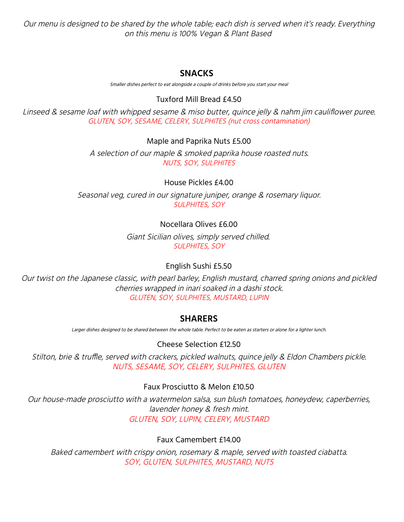Our menu is designed to be shared by the whole table; each dish is served when it's ready. Everything on this menu is 100% Vegan & Plant Based

## **SNACKS**

Smaller dishes perfect to eat alongside <sup>a</sup> couple of drinks before you start your meal

### Tuxford Mill Bread £4.50

Linseed & sesame loaf with whipped sesame & miso butter, quince jelly & nahm jim cauliflower puree. GLUTEN, SOY, SESAME, CELERY, SULPHITES (nut cross contamination)

#### Maple and Paprika Nuts £5.00

A selection of our maple & smoked paprika house roasted nuts. NUTS, SOY, SULPHITES

### House Pickles £4.00

Seasonal veg, cured in our signature juniper, orange & rosemary liquor. SULPHITES, SOY

## Nocellara Olives £6.00

Giant Sicilian olives, simply served chilled. SULPHITES, SOY

## English Sushi £5.50

Our twist on the Japanese classic, with pearl barley, English mustard, charred spring onions and pickled cherries wrapped in inari soaked in <sup>a</sup> dashi stock. GLUTEN, SOY, SULPHITES, MUSTARD, LUPIN

## **SHARERS**

Larger dishes designed to be shared between the whole table. Perfect to be eaten as starters or alone for <sup>a</sup> lighter lunch.

Cheese Selection £12.50

Stilton, brie & truffle, served with crackers, pickled walnuts, quince jelly & Eldon Chambers pickle. NUTS, SESAME, SOY, CELERY, SULPHITES, GLUTEN

## Faux Prosciutto & Melon £10.50

Our house-made prosciutto with <sup>a</sup> watermelon salsa, sun blush tomatoes, honeydew, caperberries, lavender honey & fresh mint. GLUTEN, SOY, LUPIN, CELERY, MUSTARD

## Faux Camembert £14.00

Baked camembert with crispy onion, rosemary & maple, served with toasted ciabatta. SOY, GLUTEN, SULPHITES, MUSTARD, NUTS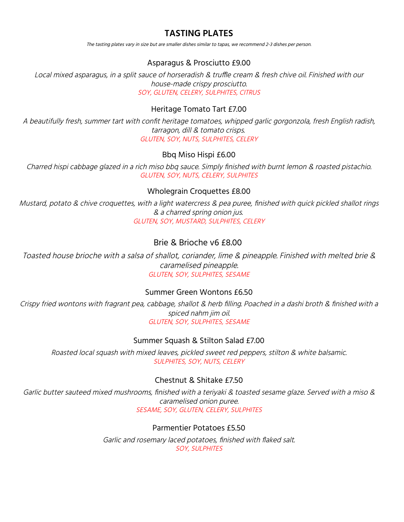# **TASTING PLATES**

The tasting plates vary in size but are smaller dishes similar to tapas, we recommend 2-3 dishes per person.

#### Asparagus & Prosciutto £9.00

Local mixed asparagus, in <sup>a</sup> split sauce of horseradish & truffle cream & fresh chive oil. Finished with our house-made crispy prosciutto. SOY, GLUTEN, CELERY, SULPHITES, CITRUS

### Heritage Tomato Tart £7.00

A beautifully fresh, summer tart with confit heritage tomatoes, whipped garlic gorgonzola, fresh English radish, tarragon, dill & tomato crisps. GLUTEN, SOY, NUTS, SULPHITES, CELERY

### Bbq Miso Hispi £6.00

Charred hispi cabbage glazed in <sup>a</sup> rich miso bbq sauce. Simply finished with burnt lemon & roasted pistachio. GLUTEN, SOY, NUTS, CELERY, SULPHITES

#### Wholegrain Croquettes £8.00

Mustard, potato & chive croquettes, with <sup>a</sup> light watercress & pea puree, finished with quick pickled shallot rings & <sup>a</sup> charred spring onion jus. GLUTEN, SOY, MUSTARD, SULPHITES, CELERY

## Brie & Brioche v6 £8.00

Toasted house brioche with <sup>a</sup> salsa of shallot, coriander, lime & pineapple. Finished with melted brie & caramelised pineapple. GLUTEN, SOY, SULPHITES, SESAME

#### Summer Green Wontons £6.50

Crispy fried wontons with fragrant pea, cabbage, shallot & herb filling. Poached in <sup>a</sup> dashi broth & finished with <sup>a</sup> spiced nahm jim oil. GLUTEN, SOY, SULPHITES, SESAME

#### Summer Squash & Stilton Salad £7.00

Roasted local squash with mixed leaves, pickled sweet red peppers, stilton & white balsamic. SULPHITES, SOY, NUTS, CELERY

#### Chestnut & Shitake £7.50

Garlic butter sauteed mixed mushrooms, finished with <sup>a</sup> teriyaki & toasted sesame glaze. Served with <sup>a</sup> miso & caramelised onion puree. SESAME, SOY, GLUTEN, CELERY, SULPHITES

#### Parmentier Potatoes £5.50

Garlic and rosemary laced potatoes, finished with flaked salt. SOY, SULPHITES